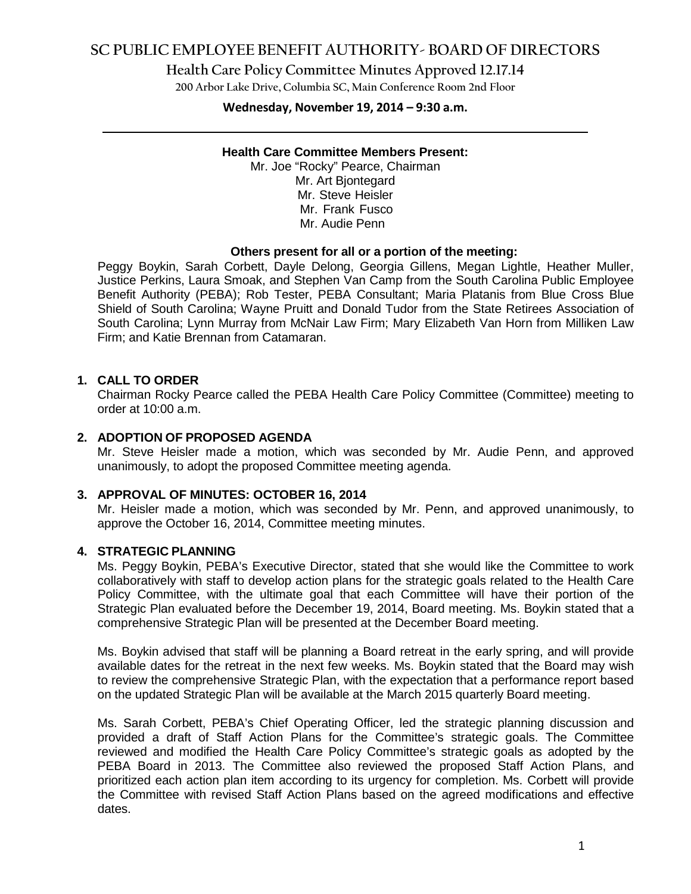# **SC PUBLIC EMPLOYEE BENEFIT AUTHORITY- BOARD OF DIRECTORS**

**Health Care Policy Committee Minutes Approved 12.17.14**

**200 Arbor Lake Drive, Columbia SC, Main Conference Room 2nd Floor**

#### **Wednesday, November 19, 2014 – 9:30 a.m.**

#### **Health Care Committee Members Present:**

Mr. Joe "Rocky" Pearce, Chairman Mr. Art Bjontegard Mr. Steve Heisler Mr. Frank Fusco Mr. Audie Penn

#### **Others present for all or a portion of the meeting:**

Peggy Boykin, Sarah Corbett, Dayle Delong, Georgia Gillens, Megan Lightle, Heather Muller, Justice Perkins, Laura Smoak, and Stephen Van Camp from the South Carolina Public Employee Benefit Authority (PEBA); Rob Tester, PEBA Consultant; Maria Platanis from Blue Cross Blue Shield of South Carolina; Wayne Pruitt and Donald Tudor from the State Retirees Association of South Carolina; Lynn Murray from McNair Law Firm; Mary Elizabeth Van Horn from Milliken Law Firm; and Katie Brennan from Catamaran.

#### **1. CALL TO ORDER**

Chairman Rocky Pearce called the PEBA Health Care Policy Committee (Committee) meeting to order at 10:00 a.m.

### **2. ADOPTION OF PROPOSED AGENDA**

Mr. Steve Heisler made a motion, which was seconded by Mr. Audie Penn, and approved unanimously, to adopt the proposed Committee meeting agenda.

#### **3. APPROVAL OF MINUTES: OCTOBER 16, 2014**

Mr. Heisler made a motion, which was seconded by Mr. Penn, and approved unanimously, to approve the October 16, 2014, Committee meeting minutes.

#### **4. STRATEGIC PLANNING**

Ms. Peggy Boykin, PEBA's Executive Director, stated that she would like the Committee to work collaboratively with staff to develop action plans for the strategic goals related to the Health Care Policy Committee, with the ultimate goal that each Committee will have their portion of the Strategic Plan evaluated before the December 19, 2014, Board meeting. Ms. Boykin stated that a comprehensive Strategic Plan will be presented at the December Board meeting.

Ms. Boykin advised that staff will be planning a Board retreat in the early spring, and will provide available dates for the retreat in the next few weeks. Ms. Boykin stated that the Board may wish to review the comprehensive Strategic Plan, with the expectation that a performance report based on the updated Strategic Plan will be available at the March 2015 quarterly Board meeting.

Ms. Sarah Corbett, PEBA's Chief Operating Officer, led the strategic planning discussion and provided a draft of Staff Action Plans for the Committee's strategic goals. The Committee reviewed and modified the Health Care Policy Committee's strategic goals as adopted by the PEBA Board in 2013. The Committee also reviewed the proposed Staff Action Plans, and prioritized each action plan item according to its urgency for completion. Ms. Corbett will provide the Committee with revised Staff Action Plans based on the agreed modifications and effective dates.